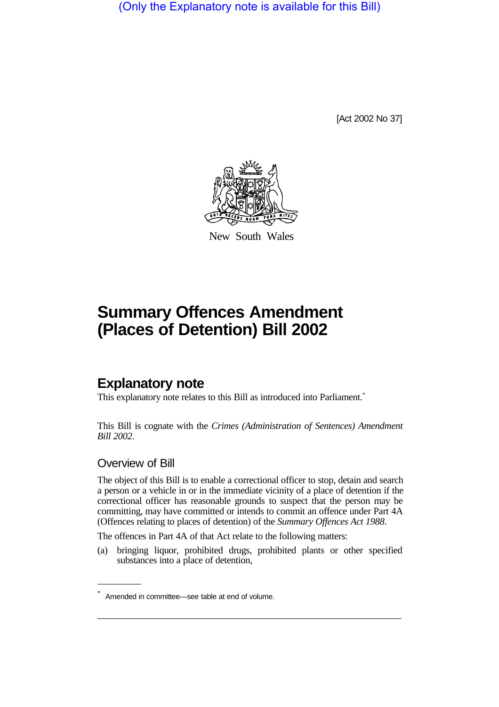(Only the Explanatory note is available for this Bill)

[Act 2002 No 37]



New South Wales

# **Summary Offences Amendment (Places of Detention) Bill 2002**

## **Explanatory note**

This explanatory note relates to this Bill as introduced into Parliament.<sup>\*</sup>

This Bill is cognate with the *Crimes (Administration of Sentences) Amendment Bill 2002*.

#### Overview of Bill

The object of this Bill is to enable a correctional officer to stop, detain and search a person or a vehicle in or in the immediate vicinity of a place of detention if the correctional officer has reasonable grounds to suspect that the person may be committing, may have committed or intends to commit an offence under Part 4A (Offences relating to places of detention) of the *Summary Offences Act 1988*.

The offences in Part 4A of that Act relate to the following matters:

(a) bringing liquor, prohibited drugs, prohibited plants or other specified substances into a place of detention,

Amended in committee—see table at end of volume.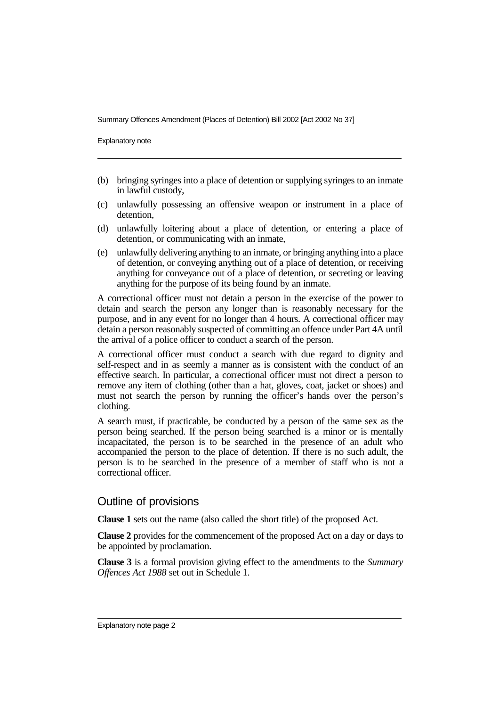Summary Offences Amendment (Places of Detention) Bill 2002 [Act 2002 No 37]

Explanatory note

- (b) bringing syringes into a place of detention or supplying syringes to an inmate in lawful custody,
- (c) unlawfully possessing an offensive weapon or instrument in a place of detention,
- (d) unlawfully loitering about a place of detention, or entering a place of detention, or communicating with an inmate,
- (e) unlawfully delivering anything to an inmate, or bringing anything into a place of detention, or conveying anything out of a place of detention, or receiving anything for conveyance out of a place of detention, or secreting or leaving anything for the purpose of its being found by an inmate.

A correctional officer must not detain a person in the exercise of the power to detain and search the person any longer than is reasonably necessary for the purpose, and in any event for no longer than 4 hours. A correctional officer may detain a person reasonably suspected of committing an offence under Part 4A until the arrival of a police officer to conduct a search of the person.

A correctional officer must conduct a search with due regard to dignity and self-respect and in as seemly a manner as is consistent with the conduct of an effective search. In particular, a correctional officer must not direct a person to remove any item of clothing (other than a hat, gloves, coat, jacket or shoes) and must not search the person by running the officer's hands over the person's clothing.

A search must, if practicable, be conducted by a person of the same sex as the person being searched. If the person being searched is a minor or is mentally incapacitated, the person is to be searched in the presence of an adult who accompanied the person to the place of detention. If there is no such adult, the person is to be searched in the presence of a member of staff who is not a correctional officer.

#### Outline of provisions

**Clause 1** sets out the name (also called the short title) of the proposed Act.

**Clause 2** provides for the commencement of the proposed Act on a day or days to be appointed by proclamation.

**Clause 3** is a formal provision giving effect to the amendments to the *Summary Offences Act 1988* set out in Schedule 1.